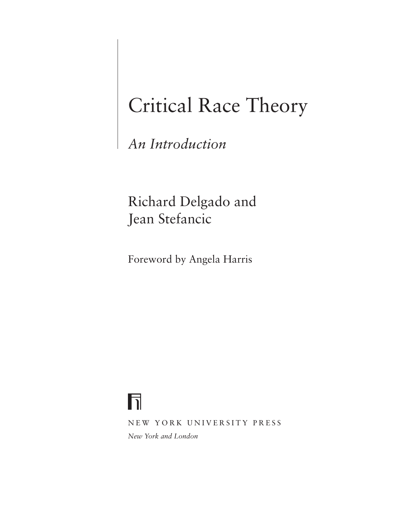## Critical Race Theory

## *An Introduction*

## Richard Delgado and Jean Stefancic

Foreword by Angela Harris

# $\overline{\mathbf{D}}$

NEW YORK UNIVERSITY PRESS

*New York and London*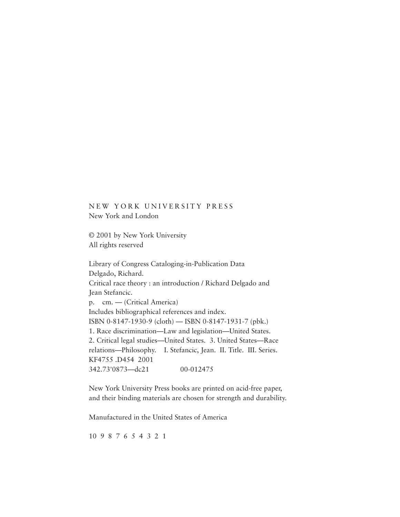#### NEW YORK UNIVERSITY PRESS New York and London

© 2001 by New York University All rights reserved

Library of Congress Cataloging-in-Publication Data Delgado, Richard. Critical race theory : an introduction / Richard Delgado and Jean Stefancic. p. cm. — (Critical America) Includes bibliographical references and index. ISBN 0-8147-1930-9 (cloth) — ISBN 0-8147-1931-7 (pbk.) 1. Race discrimination—Law and legislation—United States. 2. Critical legal studies—United States. 3. United States—Race relations—Philosophy. I. Stefancic, Jean. II. Title. III. Series. KF4755 .D454 2001 342.73'0873—dc21 00-012475

New York University Press books are printed on acid-free paper, and their binding materials are chosen for strength and durability.

Manufactured in the United States of America

10 9 8 7 6 5 4 3 2 1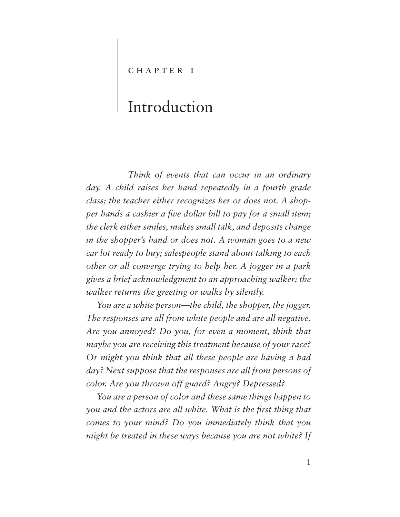#### chapter i

# Introduction

*Think of events that can occur in an ordinary day. A child raises her hand repeatedly in a fourth grade class; the teacher either recognizes her or does not. A shopper hands a cashier a five dollar bill to pay for a small item; the clerk either smiles, makes small talk, and deposits change in the shopper's hand or does not. A woman goes to a new car lot ready to buy; salespeople stand about talking to each other or all converge trying to help her. A jogger in a park gives a brief acknowledgment to an approaching walker; the walker returns the greeting or walks by silently.*

*You are a white person—the child, the shopper, the jogger. The responses are all from white people and are all negative. Are you annoyed? Do you, for even a moment, think that maybe you are receiving this treatment because of your race? Or might you think that all these people are having a bad day? Next suppose that the responses are all from persons of color. Are you thrown off guard? Angry? Depressed?*

*You are a person of color and these same things happen to you and the actors are all white. What is the first thing that comes to your mind? Do you immediately think that you might be treated in these ways because you are not white? If*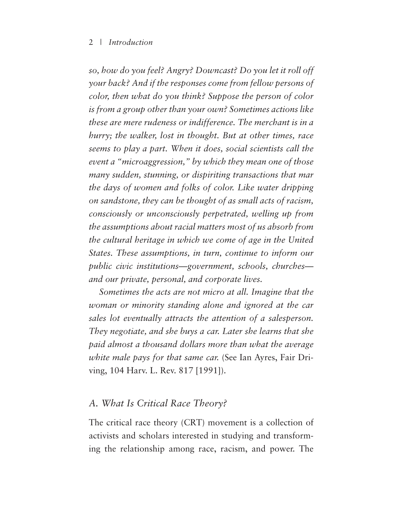*so, how do you feel? Angry? Downcast? Do you let it roll off your back? And if the responses come from fellow persons of color, then what do you think? Suppose the person of color is from a group other than your own? Sometimes actions like these are mere rudeness or indifference. The merchant is in a hurry; the walker, lost in thought. But at other times, race seems to play a part. When it does, social scientists call the event a "microaggression," by which they mean one of those many sudden, stunning, or dispiriting transactions that mar the days of women and folks of color. Like water dripping on sandstone, they can be thought of as small acts of racism, consciously or unconsciously perpetrated, welling up from the assumptions about racial matters most of us absorb from the cultural heritage in which we come of age in the United States. These assumptions, in turn, continue to inform our public civic institutions—government, schools, churches and our private, personal, and corporate lives.*

*Sometimes the acts are not micro at all. Imagine that the woman or minority standing alone and ignored at the car sales lot eventually attracts the attention of a salesperson. They negotiate, and she buys a car. Later she learns that she paid almost a thousand dollars more than what the average white male pays for that same car.* (See Ian Ayres, Fair Driving, 104 Harv. L. Rev. 817 [1991]).

#### *A. What Is Critical Race Theory?*

The critical race theory (CRT) movement is a collection of activists and scholars interested in studying and transforming the relationship among race, racism, and power. The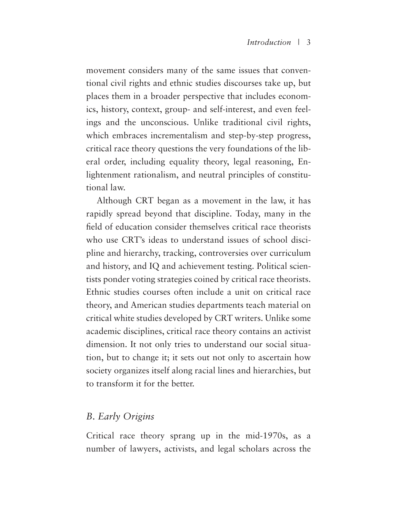movement considers many of the same issues that conventional civil rights and ethnic studies discourses take up, but places them in a broader perspective that includes economics, history, context, group- and self-interest, and even feelings and the unconscious. Unlike traditional civil rights, which embraces incrementalism and step-by-step progress, critical race theory questions the very foundations of the liberal order, including equality theory, legal reasoning, Enlightenment rationalism, and neutral principles of constitutional law.

Although CRT began as a movement in the law, it has rapidly spread beyond that discipline. Today, many in the field of education consider themselves critical race theorists who use CRT's ideas to understand issues of school discipline and hierarchy, tracking, controversies over curriculum and history, and IQ and achievement testing. Political scientists ponder voting strategies coined by critical race theorists. Ethnic studies courses often include a unit on critical race theory, and American studies departments teach material on critical white studies developed by CRT writers. Unlike some academic disciplines, critical race theory contains an activist dimension. It not only tries to understand our social situation, but to change it; it sets out not only to ascertain how society organizes itself along racial lines and hierarchies, but to transform it for the better.

#### *B. Early Origins*

Critical race theory sprang up in the mid-1970s, as a number of lawyers, activists, and legal scholars across the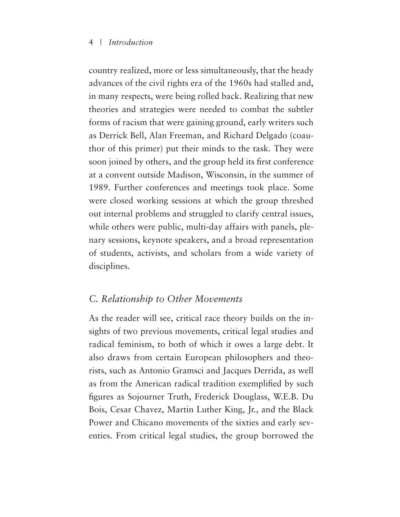country realized, more or less simultaneously, that the heady advances of the civil rights era of the 1960s had stalled and, in many respects, were being rolled back. Realizing that new theories and strategies were needed to combat the subtler forms of racism that were gaining ground, early writers such as Derrick Bell, Alan Freeman, and Richard Delgado (coauthor of this primer) put their minds to the task. They were soon joined by others, and the group held its first conference at a convent outside Madison, Wisconsin, in the summer of 1989. Further conferences and meetings took place. Some were closed working sessions at which the group threshed out internal problems and struggled to clarify central issues, while others were public, multi-day affairs with panels, plenary sessions, keynote speakers, and a broad representation of students, activists, and scholars from a wide variety of disciplines.

#### *C. Relationship to Other Movements*

As the reader will see, critical race theory builds on the insights of two previous movements, critical legal studies and radical feminism, to both of which it owes a large debt. It also draws from certain European philosophers and theorists, such as Antonio Gramsci and Jacques Derrida, as well as from the American radical tradition exemplified by such figures as Sojourner Truth, Frederick Douglass, W.E.B. Du Bois, Cesar Chavez, Martin Luther King, Jr., and the Black Power and Chicano movements of the sixties and early seventies. From critical legal studies, the group borrowed the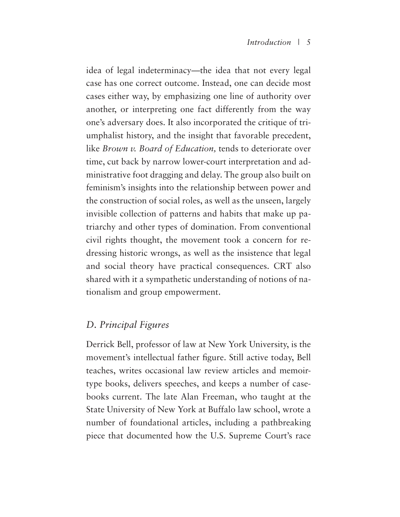idea of legal indeterminacy—the idea that not every legal case has one correct outcome. Instead, one can decide most cases either way, by emphasizing one line of authority over another, or interpreting one fact differently from the way one's adversary does. It also incorporated the critique of triumphalist history, and the insight that favorable precedent, like *Brown v. Board of Education,* tends to deteriorate over time, cut back by narrow lower-court interpretation and administrative foot dragging and delay. The group also built on feminism's insights into the relationship between power and the construction of social roles, as well as the unseen, largely invisible collection of patterns and habits that make up patriarchy and other types of domination. From conventional civil rights thought, the movement took a concern for redressing historic wrongs, as well as the insistence that legal and social theory have practical consequences. CRT also shared with it a sympathetic understanding of notions of nationalism and group empowerment.

#### *D. Principal Figures*

Derrick Bell, professor of law at New York University, is the movement's intellectual father figure. Still active today, Bell teaches, writes occasional law review articles and memoirtype books, delivers speeches, and keeps a number of casebooks current. The late Alan Freeman, who taught at the State University of New York at Buffalo law school, wrote a number of foundational articles, including a pathbreaking piece that documented how the U.S. Supreme Court's race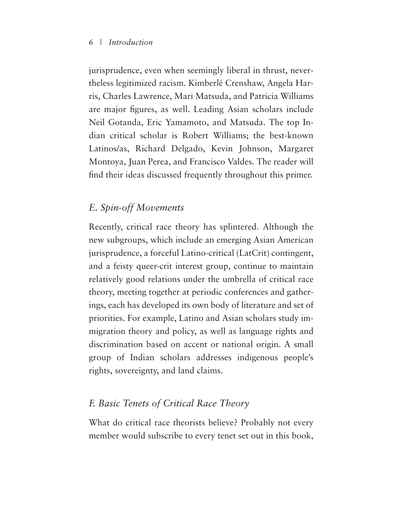jurisprudence, even when seemingly liberal in thrust, nevertheless legitimized racism. Kimberlé Crenshaw, Angela Harris, Charles Lawrence, Mari Matsuda, and Patricia Williams are major figures, as well. Leading Asian scholars include Neil Gotanda, Eric Yamamoto, and Matsuda. The top Indian critical scholar is Robert Williams; the best-known Latinos/as, Richard Delgado, Kevin Johnson, Margaret Montoya, Juan Perea, and Francisco Valdes. The reader will find their ideas discussed frequently throughout this primer.

#### *E. Spin-off Movements*

Recently, critical race theory has splintered. Although the new subgroups, which include an emerging Asian American jurisprudence, a forceful Latino-critical (LatCrit) contingent, and a feisty queer-crit interest group, continue to maintain relatively good relations under the umbrella of critical race theory, meeting together at periodic conferences and gatherings, each has developed its own body of literature and set of priorities. For example, Latino and Asian scholars study immigration theory and policy, as well as language rights and discrimination based on accent or national origin. A small group of Indian scholars addresses indigenous people's rights, sovereignty, and land claims.

#### *F. Basic Tenets of Critical Race Theory*

What do critical race theorists believe? Probably not every member would subscribe to every tenet set out in this book,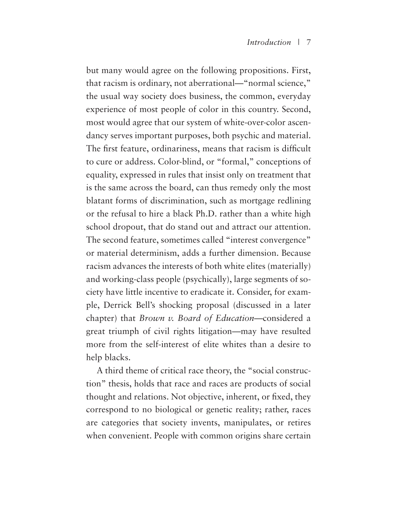but many would agree on the following propositions. First, that racism is ordinary, not aberrational—"normal science," the usual way society does business, the common, everyday experience of most people of color in this country. Second, most would agree that our system of white-over-color ascendancy serves important purposes, both psychic and material. The first feature, ordinariness, means that racism is difficult to cure or address. Color-blind, or "formal," conceptions of equality, expressed in rules that insist only on treatment that is the same across the board, can thus remedy only the most blatant forms of discrimination, such as mortgage redlining or the refusal to hire a black Ph.D. rather than a white high school dropout, that do stand out and attract our attention. The second feature, sometimes called "interest convergence" or material determinism, adds a further dimension. Because racism advances the interests of both white elites (materially) and working-class people (psychically), large segments of society have little incentive to eradicate it. Consider, for example, Derrick Bell's shocking proposal (discussed in a later chapter) that *Brown v. Board of Education*—considered a great triumph of civil rights litigation—may have resulted more from the self-interest of elite whites than a desire to help blacks.

A third theme of critical race theory, the "social construction" thesis, holds that race and races are products of social thought and relations. Not objective, inherent, or fixed, they correspond to no biological or genetic reality; rather, races are categories that society invents, manipulates, or retires when convenient. People with common origins share certain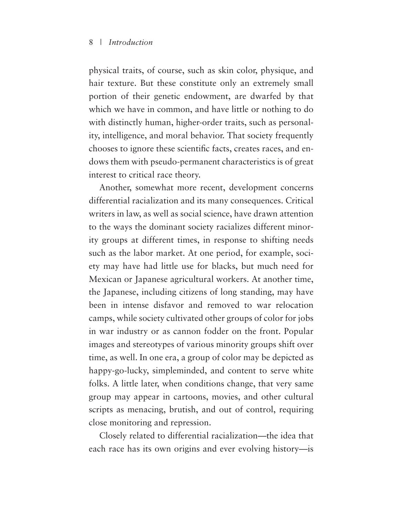physical traits, of course, such as skin color, physique, and hair texture. But these constitute only an extremely small portion of their genetic endowment, are dwarfed by that which we have in common, and have little or nothing to do with distinctly human, higher-order traits, such as personality, intelligence, and moral behavior. That society frequently chooses to ignore these scientific facts, creates races, and endows them with pseudo-permanent characteristics is of great interest to critical race theory.

Another, somewhat more recent, development concerns differential racialization and its many consequences. Critical writers in law, as well as social science, have drawn attention to the ways the dominant society racializes different minority groups at different times, in response to shifting needs such as the labor market. At one period, for example, society may have had little use for blacks, but much need for Mexican or Japanese agricultural workers. At another time, the Japanese, including citizens of long standing, may have been in intense disfavor and removed to war relocation camps, while society cultivated other groups of color for jobs in war industry or as cannon fodder on the front. Popular images and stereotypes of various minority groups shift over time, as well. In one era, a group of color may be depicted as happy-go-lucky, simpleminded, and content to serve white folks. A little later, when conditions change, that very same group may appear in cartoons, movies, and other cultural scripts as menacing, brutish, and out of control, requiring close monitoring and repression.

Closely related to differential racialization—the idea that each race has its own origins and ever evolving history—is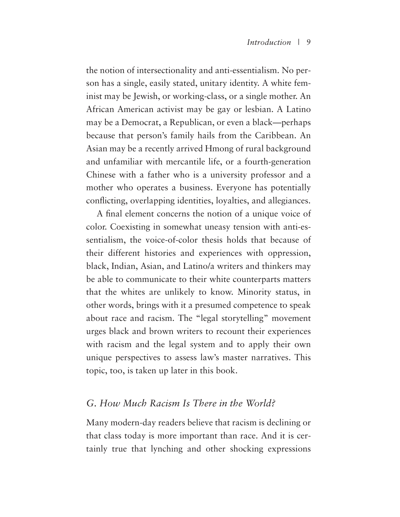the notion of intersectionality and anti-essentialism. No person has a single, easily stated, unitary identity. A white feminist may be Jewish, or working-class, or a single mother. An African American activist may be gay or lesbian. A Latino may be a Democrat, a Republican, or even a black—perhaps because that person's family hails from the Caribbean. An Asian may be a recently arrived Hmong of rural background and unfamiliar with mercantile life, or a fourth-generation Chinese with a father who is a university professor and a mother who operates a business. Everyone has potentially conflicting, overlapping identities, loyalties, and allegiances.

A final element concerns the notion of a unique voice of color. Coexisting in somewhat uneasy tension with anti-essentialism, the voice-of-color thesis holds that because of their different histories and experiences with oppression, black, Indian, Asian, and Latino/a writers and thinkers may be able to communicate to their white counterparts matters that the whites are unlikely to know. Minority status, in other words, brings with it a presumed competence to speak about race and racism. The "legal storytelling" movement urges black and brown writers to recount their experiences with racism and the legal system and to apply their own unique perspectives to assess law's master narratives. This topic, too, is taken up later in this book.

#### *G. How Much Racism Is There in the World?*

Many modern-day readers believe that racism is declining or that class today is more important than race. And it is certainly true that lynching and other shocking expressions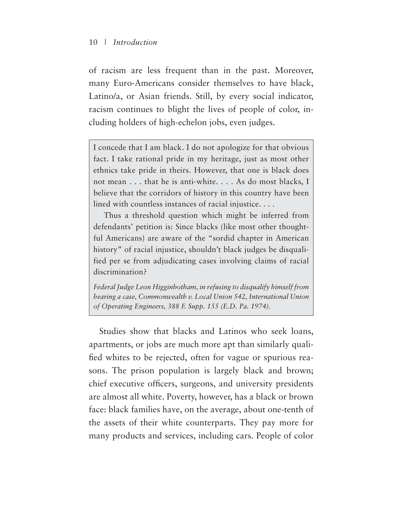of racism are less frequent than in the past. Moreover, many Euro-Americans consider themselves to have black, Latino/a, or Asian friends. Still, by every social indicator, racism continues to blight the lives of people of color, including holders of high-echelon jobs, even judges.

I concede that I am black. I do not apologize for that obvious fact. I take rational pride in my heritage, just as most other ethnics take pride in theirs. However, that one is black does not mean . . . that he is anti-white. . . . As do most blacks, I believe that the corridors of history in this country have been lined with countless instances of racial injustice. . . .

Thus a threshold question which might be inferred from defendants' petition is: Since blacks (like most other thoughtful Americans) are aware of the "sordid chapter in American history" of racial injustice, shouldn't black judges be disqualified per se from adjudicating cases involving claims of racial discrimination?

*Federal Judge Leon Higginbotham, in refusing to disqualify himself from hearing a case, Commonwealth v. Local Union 542, International Union of Operating Engineers, 388 F. Supp. 155 (E.D. Pa. 1974).*

Studies show that blacks and Latinos who seek loans, apartments, or jobs are much more apt than similarly qualified whites to be rejected, often for vague or spurious reasons. The prison population is largely black and brown; chief executive officers, surgeons, and university presidents are almost all white. Poverty, however, has a black or brown face: black families have, on the average, about one-tenth of the assets of their white counterparts. They pay more for many products and services, including cars. People of color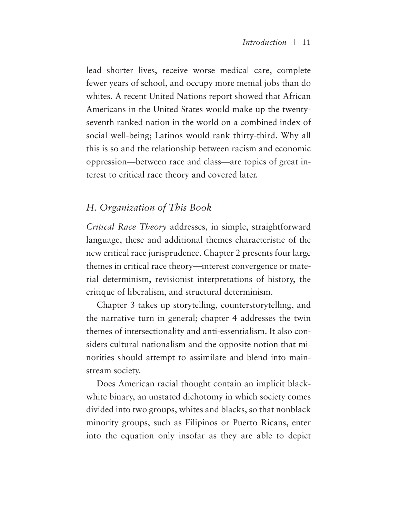lead shorter lives, receive worse medical care, complete fewer years of school, and occupy more menial jobs than do whites. A recent United Nations report showed that African Americans in the United States would make up the twentyseventh ranked nation in the world on a combined index of social well-being; Latinos would rank thirty-third. Why all this is so and the relationship between racism and economic oppression—between race and class—are topics of great interest to critical race theory and covered later.

#### *H. Organization of This Book*

*Critical Race Theory* addresses, in simple, straightforward language, these and additional themes characteristic of the new critical race jurisprudence. Chapter 2 presents four large themes in critical race theory—interest convergence or material determinism, revisionist interpretations of history, the critique of liberalism, and structural determinism.

Chapter 3 takes up storytelling, counterstorytelling, and the narrative turn in general; chapter 4 addresses the twin themes of intersectionality and anti-essentialism. It also considers cultural nationalism and the opposite notion that minorities should attempt to assimilate and blend into mainstream society.

Does American racial thought contain an implicit blackwhite binary, an unstated dichotomy in which society comes divided into two groups, whites and blacks, so that nonblack minority groups, such as Filipinos or Puerto Ricans, enter into the equation only insofar as they are able to depict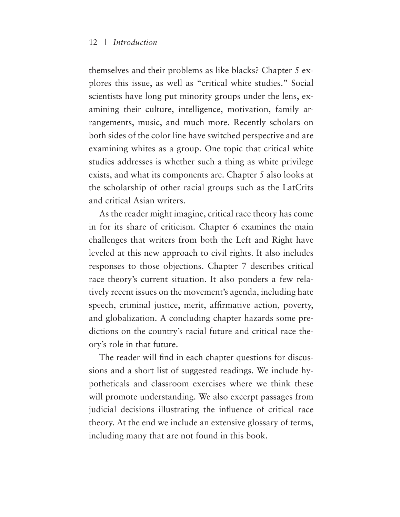themselves and their problems as like blacks? Chapter 5 explores this issue, as well as "critical white studies." Social scientists have long put minority groups under the lens, examining their culture, intelligence, motivation, family arrangements, music, and much more. Recently scholars on both sides of the color line have switched perspective and are examining whites as a group. One topic that critical white studies addresses is whether such a thing as white privilege exists, and what its components are. Chapter 5 also looks at the scholarship of other racial groups such as the LatCrits and critical Asian writers.

As the reader might imagine, critical race theory has come in for its share of criticism. Chapter 6 examines the main challenges that writers from both the Left and Right have leveled at this new approach to civil rights. It also includes responses to those objections. Chapter 7 describes critical race theory's current situation. It also ponders a few relatively recent issues on the movement's agenda, including hate speech, criminal justice, merit, affirmative action, poverty, and globalization. A concluding chapter hazards some predictions on the country's racial future and critical race theory's role in that future.

The reader will find in each chapter questions for discussions and a short list of suggested readings. We include hypotheticals and classroom exercises where we think these will promote understanding. We also excerpt passages from judicial decisions illustrating the influence of critical race theory. At the end we include an extensive glossary of terms, including many that are not found in this book.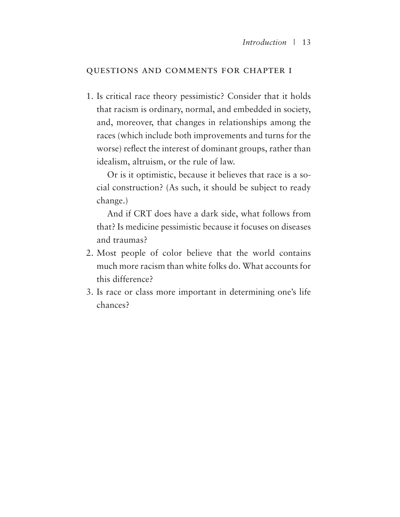#### questions and comments for chapter i

1. Is critical race theory pessimistic? Consider that it holds that racism is ordinary, normal, and embedded in society, and, moreover, that changes in relationships among the races (which include both improvements and turns for the worse) reflect the interest of dominant groups, rather than idealism, altruism, or the rule of law.

Or is it optimistic, because it believes that race is a social construction? (As such, it should be subject to ready change.)

And if CRT does have a dark side, what follows from that? Is medicine pessimistic because it focuses on diseases and traumas?

- 2. Most people of color believe that the world contains much more racism than white folks do. What accounts for this difference?
- 3. Is race or class more important in determining one's life chances?